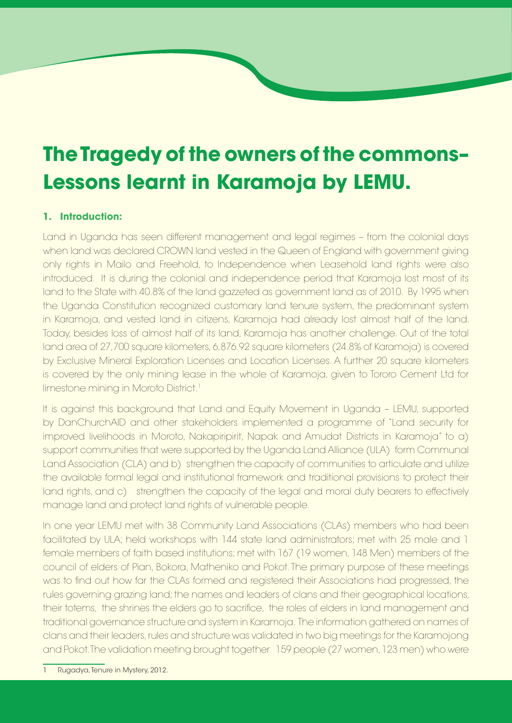# **The Tragedy of the owners of the commons– Lessons learnt in Karamoja by LEMU.**

## **1. Introduction:**

Land in Uganda has seen different management and legal regimes – from the colonial days when land was declared CROWN land vested in the Queen of England with government giving only rights in Mailo and Freehold, to Independence when Leasehold land rights were also introduced. It is during the colonial and independence period that Karamoja lost most of its land to the State with 40.8% of the land gazzeted as government land as of 2010. By 1995 when the Uganda Constitution recognized customary land tenure system, the predominant system in Karamoja, and vested land in citizens, Karamoja had already lost almost half of the land. Today, besides loss of almost half of its land, Karamoja has another challenge. Out of the total land area of 27,700 square kilometers, 6,876.92 square kilometers (24.8% of Karamoja) is covered by Exclusive Mineral Exploration Licenses and Location Licenses. A further 20 square kilometers is covered by the only mining lease in the whole of Karamoja, given to Tororo Cement Ltd for limestone mining in Moroto District.<sup>1</sup>

It is against this background that Land and Equity Movement in Uganda – LEMU, supported by DanChurchAID and other stakeholders implemented a programme of "Land security for improved livelihoods in Moroto, Nakapiripirit, Napak and Amudat Districts in Karamoja" to a) support communities that were supported by the Uganda Land Alliance (ULA) form Communal Land Association (CLA) and b) strengthen the capacity of communities to articulate and utilize the available formal legal and institutional framework and traditional provisions to protect their land rights, and c) strengthen the capacity of the legal and moral duty bearers to effectively manage land and protect land rights of vulnerable people.

and Pokot. The validation meeting brought together 159 people (27 women, 123 men) who were In one year LEMU met with 38 Community Land Associations (CLAs) members who had been facilitated by ULA; held workshops with 144 state land administrators; met with 25 male and 1 female members of faith based institutions; met with 167 (19 women, 148 Men) members of the council of elders of Pian, Bokora, Matheniko and Pokot. The primary purpose of these meetings was to find out how far the CLAs formed and registered their Associations had progressed, the rules governing grazing land; the names and leaders of clans and their geographical locations, their totems, the shrines the elders go to sacrifice, the roles of elders in land management and traditional governance structure and system in Karamoja. The information gathered on names of clans and their leaders, rules and structure was validated in two big meetings for the Karamojong

Industrial Area, Namwongo Road

: 0772 856 212

Tanura in Must  $\ldots$ n Land Rugadya, Tenure in Mystery, 2012.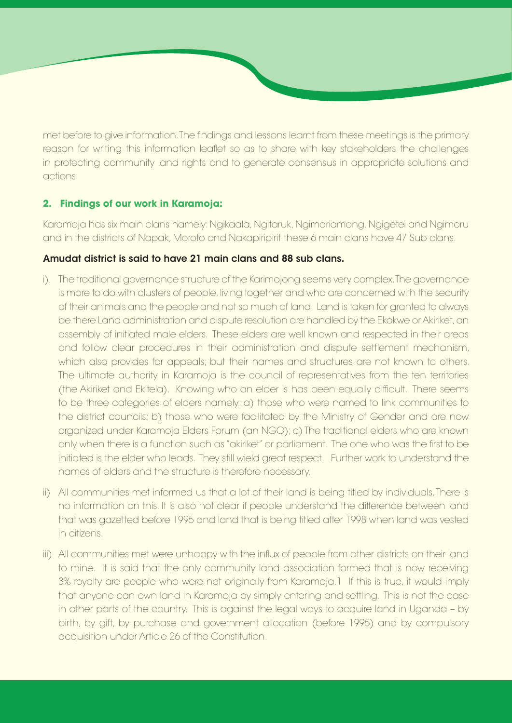met before to give information. The findings and lessons learnt from these meetings is the primary reason for writing this information leaflet so as to share with key stakeholders the challenges in protecting community land rights and to generate consensus in appropriate solutions and actions.

## **2. Findings of our work in Karamoja:**

Karamoja has six main clans namely: Ngikaala, Ngitaruk, Ngimariamong, Ngigetei and Ngimoru and in the districts of Napak, Moroto and Nakapiripirit these 6 main clans have 47 Sub clans.

## Amudat district is said to have 21 main clans and 88 sub clans.

- i) The traditional governance structure of the Karimojong seems very complex. The governance is more to do with clusters of people, living together and who are concerned with the security of their animals and the people and not so much of land. Land is taken for granted to always be there Land administration and dispute resolution are handled by the Ekokwe or Akiriket, an assembly of initiated male elders. These elders are well known and respected in their areas and follow clear procedures in their administration and dispute settlement mechanism, which also provides for appeals; but their names and structures are not known to others. The ultimate authority in Karamoja is the council of representatives from the ten territories (the Akiriket and Ekitela). Knowing who an elder is has been equally difficult. There seems to be three categories of elders namely: a) those who were named to link communities to the district councils; b) those who were facilitated by the Ministry of Gender and are now organized under Karamoja Elders Forum (an NGO); c) The traditional elders who are known only when there is a function such as "akiriket" or parliament. The one who was the first to be initiated is the elder who leads. They still wield great respect. Further work to understand the names of elders and the structure is therefore necessary.
- ii) All communities met informed us that a lot of their land is being titled by individuals. There is no information on this. It is also not clear if people understand the difference between land that was gazetted before 1995 and land that is being titled after 1998 when land was vested in citizens.
- iii) All communities met were unhappy with the influx of people from other districts on their land to mine. It is said that the only community land association formed that is now receiving 3% royalty are people who were not originally from Karamoja.1 If this is true, it would imply that anyone can own land in Karamoja by simply entering and settling. This is not the case in other parts of the country. This is against the legal ways to acquire land in Uganda – by birth, by gift, by purchase and government allocation (before 1995) and by compulsory acquisition under Article 26 of the Constitution.

Industrial Area, Namwongo Road

: 0772 856 212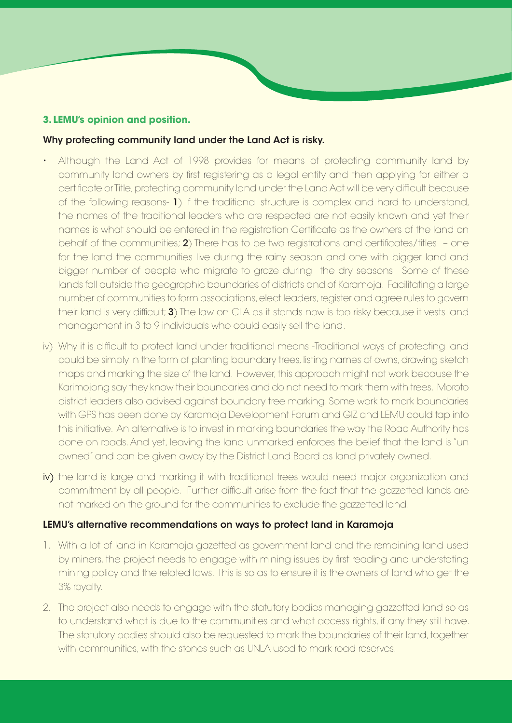#### **3. LEMU's opinion and position.**

#### Why protecting community land under the Land Act is risky.

- Although the Land Act of 1998 provides for means of protecting community land by community land owners by first registering as a legal entity and then applying for either a certificate or Title, protecting community land under the Land Act will be very difficult because of the following reasons- 1) if the traditional structure is complex and hard to understand, the names of the traditional leaders who are respected are not easily known and yet their names is what should be entered in the registration Certificate as the owners of the land on behalf of the communities; 2) There has to be two registrations and certificates/titles – one for the land the communities live during the rainy season and one with bigger land and bigger number of people who migrate to graze during the dry seasons. Some of these lands fall outside the geographic boundaries of districts and of Karamoja. Facilitating a large number of communities to form associations, elect leaders, register and agree rules to govern their land is very difficult; **3**) The law on CLA as it stands now is too risky because it vests land management in 3 to 9 individuals who could easily sell the land.
- iv) Why it is difficult to protect land under traditional means -Traditional ways of protecting land could be simply in the form of planting boundary trees, listing names of owns, drawing sketch maps and marking the size of the land. However, this approach might not work because the Karimojong say they know their boundaries and do not need to mark them with trees. Moroto district leaders also advised against boundary tree marking. Some work to mark boundaries with GPS has been done by Karamoja Development Forum and GIZ and LEMU could tap into this initiative. An alternative is to invest in marking boundaries the way the Road Authority has done on roads. And yet, leaving the land unmarked enforces the belief that the land is "un owned" and can be given away by the District Land Board as land privately owned.
- iv) the land is large and marking it with traditional trees would need major organization and commitment by all people. Further difficult arise from the fact that the gazzetted lands are not marked on the ground for the communities to exclude the gazzetted land.

#### LEMU's alternative recommendations on ways to protect land in Karamoja

- 1. With a lot of land in Karamoja gazetted as government land and the remaining land used by miners, the project needs to engage with mining issues by first reading and understating mining policy and the related laws. This is so as to ensure it is the owners of land who get the 3% royalty.
- 2. The project also needs to engage with the statutory bodies managing gazzetted land so as to understand what is due to the communities and what access rights, if any they still have. The statutory bodies should also be requested to mark the boundaries of their land, together with communities, with the stones such as UNLA used to mark road reserves.